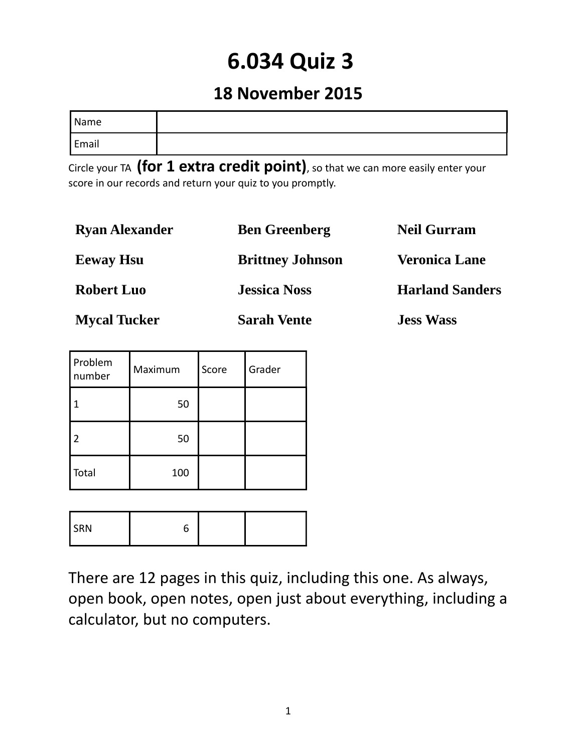# **6.034 Quiz 3**

## **18 November 2015**

| Name  |  |
|-------|--|
| Email |  |

Circle your TA **(for 1 extra credit point)**, so that we can more easily enter your score in our records and return your quiz to you promptly.

| <b>Ryan Alexander</b> | <b>Ben Greenberg</b>    | <b>Neil Gurram</b>     |
|-----------------------|-------------------------|------------------------|
| <b>Eeway Hsu</b>      | <b>Brittney Johnson</b> | <b>Veronica Lane</b>   |
| <b>Robert Luo</b>     | <b>Jessica Noss</b>     | <b>Harland Sanders</b> |
| <b>Mycal Tucker</b>   | <b>Sarah Vente</b>      | <b>Jess Wass</b>       |

| Problem<br>number | Maximum | Score | Grader |
|-------------------|---------|-------|--------|
|                   | 50      |       |        |
| $\overline{2}$    | 50      |       |        |
| Total             | 100     |       |        |

| SRN |  |  |  |
|-----|--|--|--|
|-----|--|--|--|

There are 12 pages in this quiz, including this one. As always, open book, open notes, open just about everything, including a calculator, but no computers.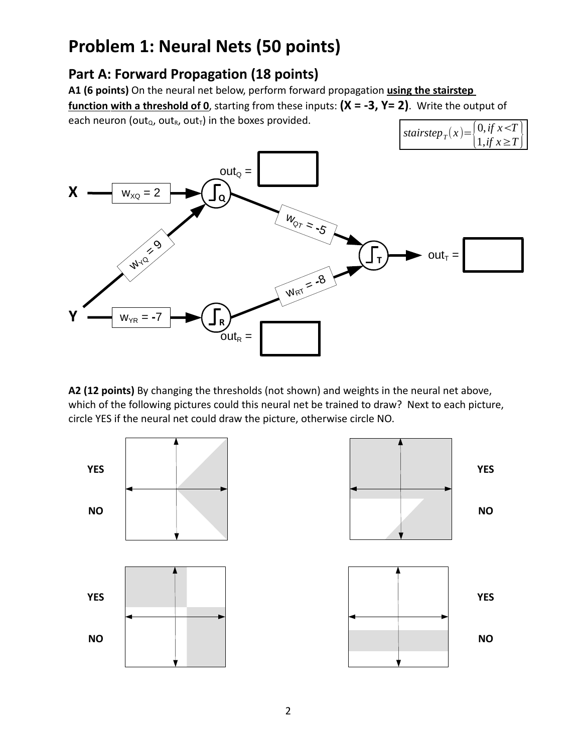## **Problem 1: Neural Nets (50 points)**

### **Part A: Forward Propagation (18 points)**

**A1 (6 points)** On the neural net below, perform forward propagation **using the stairstep function with a threshold of 0**, starting from these inputs: **(X = ‐3, Y= 2)**. Write the output of each neuron (out<sub>Q</sub>, out<sub>R</sub>, out<sub>T</sub>) in the boxes provided.



**A2 (12 points)** By changing the thresholds (not shown) and weights in the neural net above, which of the following pictures could this neural net be trained to draw? Next to each picture, circle YES if the neural net could draw the picture, otherwise circle NO.

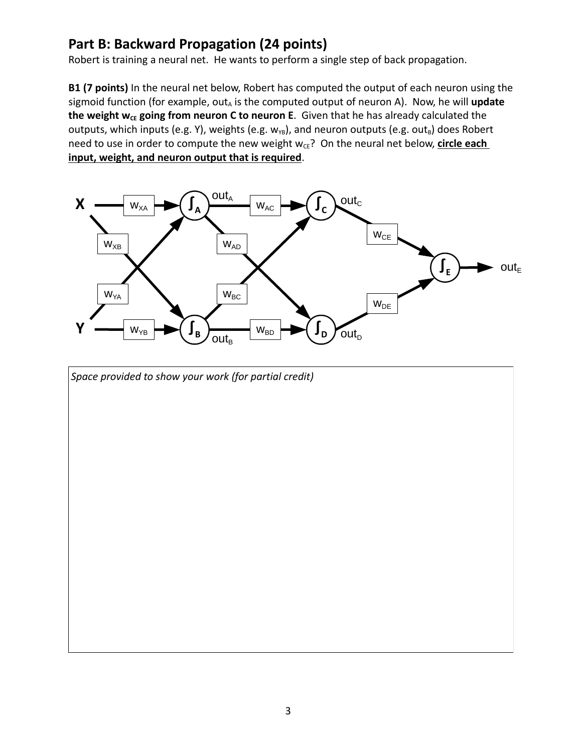#### **Part B: Backward Propagation (24 points)**

Robert is training a neural net. He wants to perform a single step of back propagation.

**B1 (7 points)** In the neural net below, Robert has computed the output of each neuron using the sigmoid function (for example, out<sub>A</sub> is the computed output of neuron A). Now, he will update **the** weight  $w_{CE}$  going from neuron C to neuron E. Given that he has already calculated the outputs, which inputs (e.g. Y), weights (e.g.  $w_{YB}$ ), and neuron outputs (e.g. out $_B$ ) does Robert need to use in order to compute the new weight w<sub>cE</sub>? On the neural net below, *circle each* **input, weight, and neuron output that is required**.



*Space provided to show your work (for partial credit)*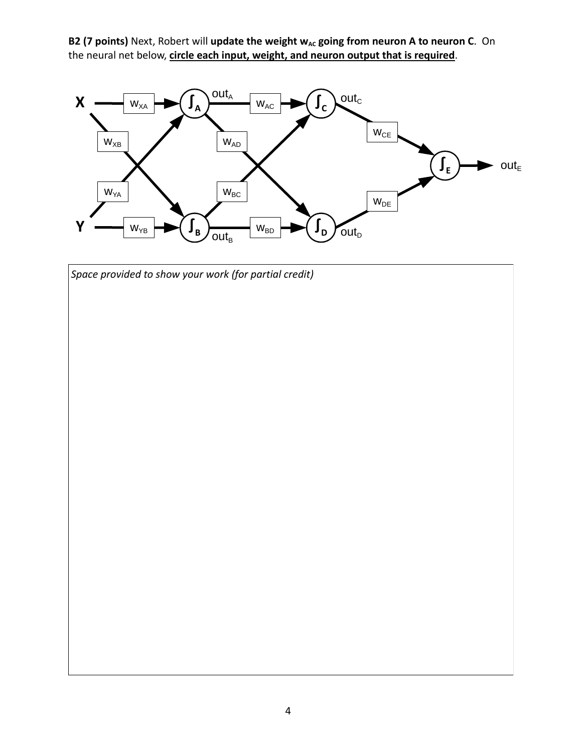**B2** (7 points) Next, Robert will update the weight  $w_{AC}$  going from neuron A to neuron C. On the neural net below, **circle each input, weight, and neuron output that is required**.



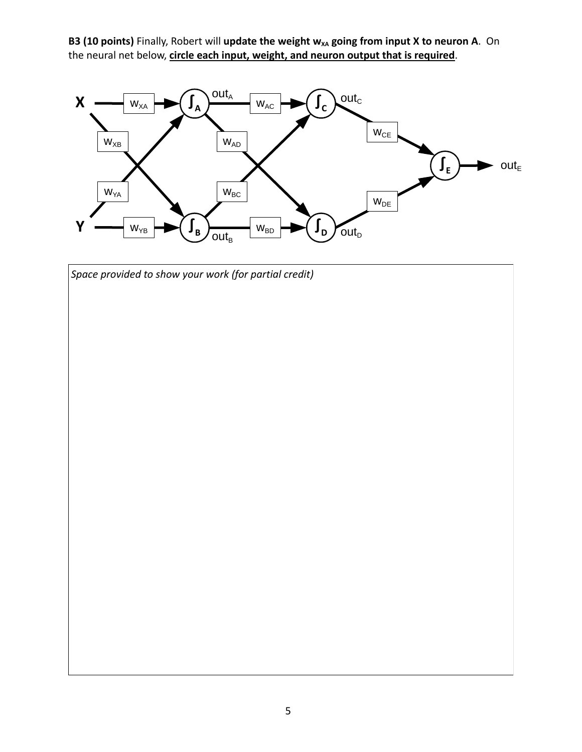**B3** (10 points) Finally, Robert will update the weight  $w_{XA}$  going from input X to neuron A. On the neural net below, **circle each input, weight, and neuron output that is required**.



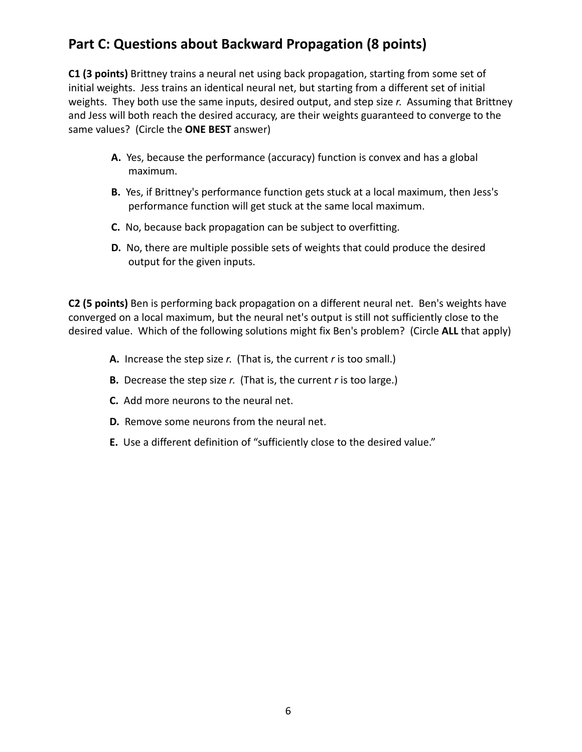#### **Part C: Questions about Backward Propagation (8 points)**

**C1 (3 points)** Brittney trains a neural net using back propagation, starting from some set of initial weights. Jess trains an identical neural net, but starting from a different set of initial weights. They both use the same inputs, desired output, and step size *r*. Assuming that Brittney and Jess will both reach the desired accuracy, are their weights guaranteed to converge to the same values? (Circle the **ONE BEST** answer)

- **A.** Yes, because the performance (accuracy) function is convex and has a global maximum.
- **B.** Yes, if Brittney's performance function gets stuck at a local maximum, then Jess's performance function will get stuck at the same local maximum.
- **C.** No, because back propagation can be subject to overfitting.
- **D.** No, there are multiple possible sets of weights that could produce the desired output for the given inputs.

**C2 (5 points)** Ben is performing back propagation on a different neural net. Ben's weights have converged on a local maximum, but the neural net's output is still not sufficiently close to the desired value. Which of the following solutions might fix Ben's problem? (Circle **ALL** that apply)

- **A.** Increase the step size *r*. (That is, the current *r* is too small.)
- **B.** Decrease the step size *r*. (That is, the current *r* is too large.)
- **C.** Add more neurons to the neural net.
- **D.** Remove some neurons from the neural net.
- **E.** Use a different definition of "sufficiently close to the desired value."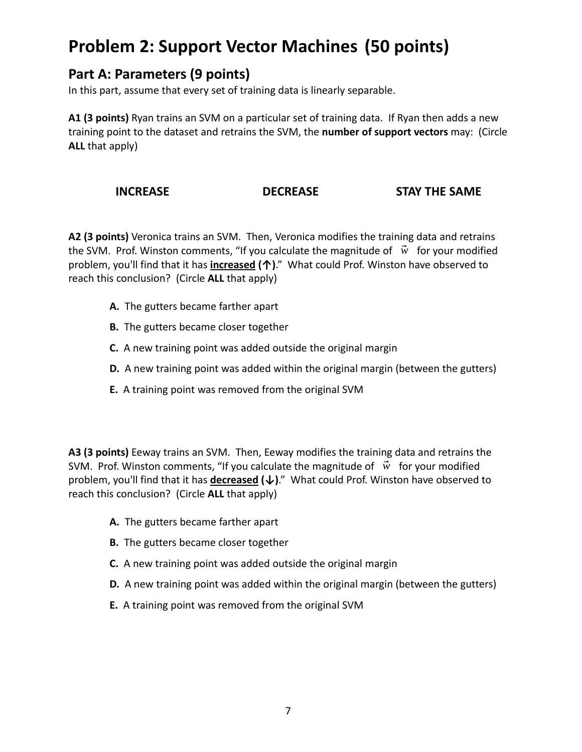## **Problem 2: Support Vector Machines (50 points)**

#### **Part A: Parameters (9 points)**

In this part, assume that every set of training data is linearly separable.

**A1 (3 points)** Ryan trains an SVM on a particular set of training data. If Ryan then adds a new training point to the dataset and retrains the SVM, the **number of support vectors** may: (Circle **ALL** that apply)

#### **INCREASE DECREASE STAY THE SAME**

**A2 (3 points)** Veronica trains an SVM. Then, Veronica modifies the training data and retrains the SVM. Prof. Winston comments, "If you calculate the magnitude of  $\vec{w}$  for your modified problem, you'll find that it has  **increased (↑)**." What could Prof. Winston have observed to reach this conclusion? (Circle **ALL** that apply)

- **A.** The gutters became farther apart
- **B.** The gutters became closer together
- **C.** A new training point was added outside the original margin
- **D.** A new training point was added within the original margin (between the gutters)
- **E.** A training point was removed from the original SVM

**A3 (3 points)** Eeway trains an SVM. Then, Eeway modifies the training data and retrains the SVM. Prof. Winston comments, "If you calculate the magnitude of  $\vec{w}$  for your modified problem, you'll find that it has **decreased** (↓)." What could Prof. Winston have observed to reach this conclusion? (Circle **ALL** that apply)

- **A.** The gutters became farther apart
- **B.** The gutters became closer together
- **C.** A new training point was added outside the original margin
- **D.** A new training point was added within the original margin (between the gutters)
- **E.** A training point was removed from the original SVM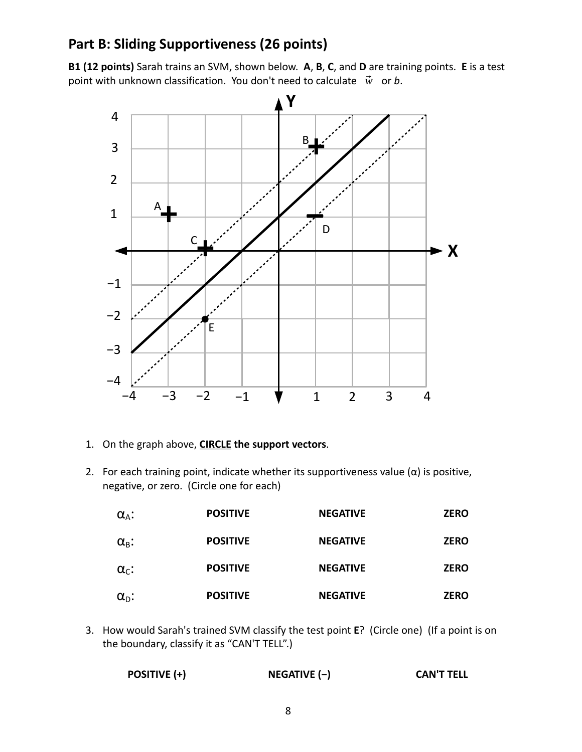#### **Part B: Sliding Supportiveness (26 points)**

**B1 (12 points)** Sarah trains an SVM, shown below. **A**, **B**, **C**, and **D** are training points. **E** is a test point with unknown classification. You don't need to calculate  $\vec{w}$  or *b*.



- 1. On the graph above, **CIRCLE the support vectors**.
- 2. For each training point, indicate whether its supportiveness value  $(\alpha)$  is positive, negative, or zero. (Circle one for each)

| $\alpha_{A}$ :     | <b>POSITIVE</b> | <b>NEGATIVE</b> | <b>ZERO</b> |
|--------------------|-----------------|-----------------|-------------|
| $\alpha_{\rm B}$ : | <b>POSITIVE</b> | <b>NEGATIVE</b> | <b>ZERO</b> |
| $\alpha_{c}$ :     | <b>POSITIVE</b> | <b>NEGATIVE</b> | <b>ZERO</b> |
| $\alpha_{\rm D}$ : | <b>POSITIVE</b> | <b>NEGATIVE</b> | <b>ZERO</b> |

3. How would Sarah's trained SVM classify the test point **E**? (Circle one) (If a point is on the boundary, classify it as "CAN'T TELL".)

| <b>POSITIVE (+)</b> | NEGATIVE (-) | <b>CAN'T TELL</b> |
|---------------------|--------------|-------------------|
|---------------------|--------------|-------------------|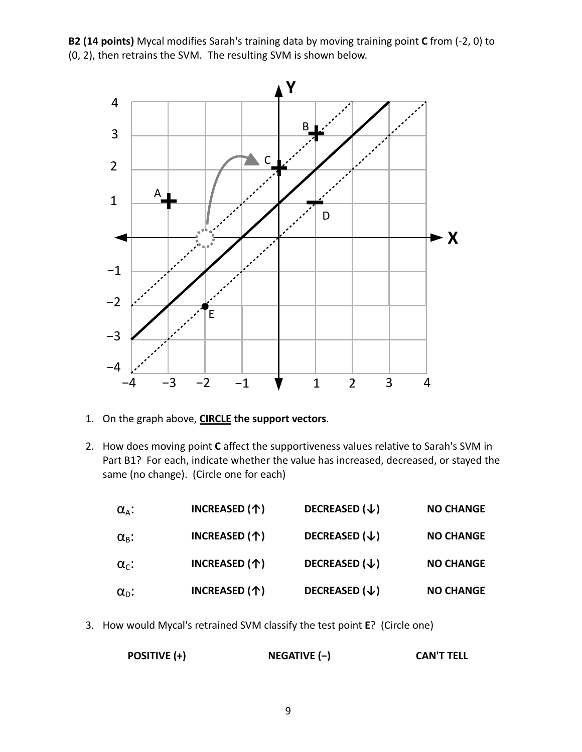**B2 (14 points)** Mycal modifies Sarah's training data by moving training point **C** from (‐2, 0) to (0, 2), then retrains the SVM. The resulting SVM is shown below.



- 1. On the graph above, **CIRCLE the support vectors**.
- 2. How does moving point **C** affect the supportiveness values relative to Sarah's SVM in Part B1? For each, indicate whether the value has increased, decreased, or stayed the same (no change). (Circle one for each)

| $\alpha_{\rm A}$ : | INCREASED (个) | DECREASED $(\downarrow)$ | <b>NO CHANGE</b> |
|--------------------|---------------|--------------------------|------------------|
| $\alpha_{\rm B}$ : | INCREASED (个) | DECREASED $(\downarrow)$ | <b>NO CHANGE</b> |
| $\alpha_{c}$ :     | INCREASED (个) | DECREASED $(\downarrow)$ | <b>NO CHANGE</b> |
| $\alpha_{\rm D}$ : | INCREASED (个) | DECREASED $(\downarrow)$ | <b>NO CHANGE</b> |

3. How would Mycal's retrained SVM classify the test point **E**? (Circle one)

| NEGATIVE (-)<br>POSITIVE (+) | <b>CAN'T TELL</b> |
|------------------------------|-------------------|
|------------------------------|-------------------|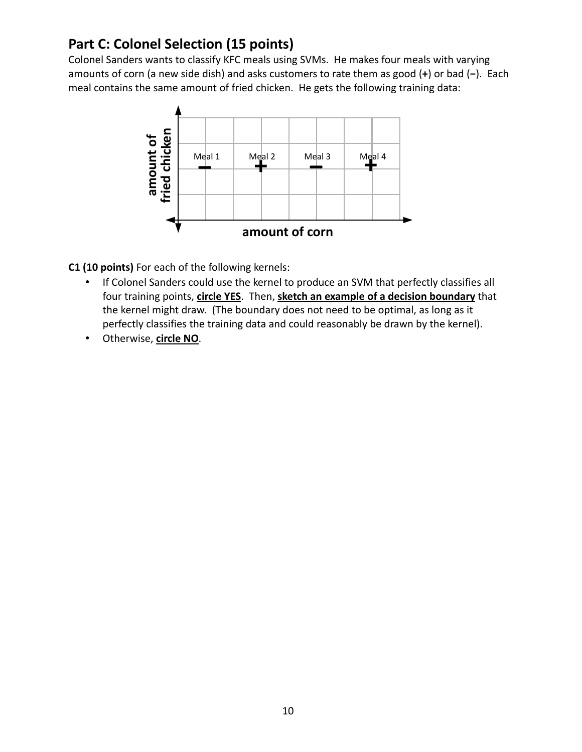### **Part C: Colonel Selection (15 points)**

Colonel Sanders wants to classify KFC meals using SVMs. He makes four meals with varying amounts of corn (a new side dish) and asks customers to rate them as good (**+**) or bad (**−**). Each meal contains the same amount of fried chicken. He gets the following training data:



**C1 (10 points)** For each of the following kernels:

- If Colonel Sanders could use the kernel to produce an SVM that perfectly classifies all four training points, **circle YES**. Then,  **sketch an example of a decision boundary** that the kernel might draw. (The boundary does not need to be optimal, as long as it perfectly classifies the training data and could reasonably be drawn by the kernel).
- Otherwise, **circle NO**.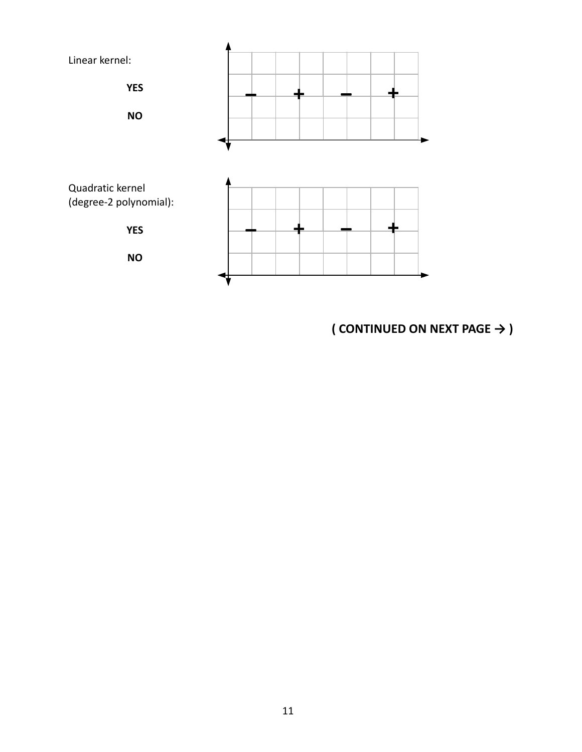

**( CONTINUED ON NEXT PAGE → )**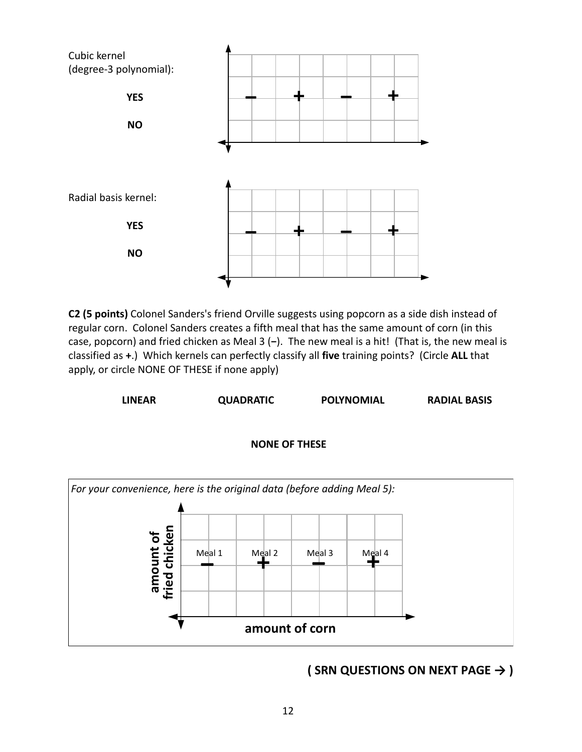

**C2 (5 points)** Colonel Sanders's friend Orville suggests using popcorn as a side dish instead of regular corn. Colonel Sanders creates a fifth meal that has the same amount of corn (in this case, popcorn) and fried chicken as Meal 3 (**−**). The new meal is a hit! (That is, the new meal is classified as **+**.) Which kernels can perfectly classify all **five** training points? (Circle **ALL** that apply, or circle NONE OF THESE if none apply)

**LINEAR QUADRATIC POLYNOMIAL RADIAL BASIS**





**( SRN QUESTIONS ON NEXT PAGE → )**